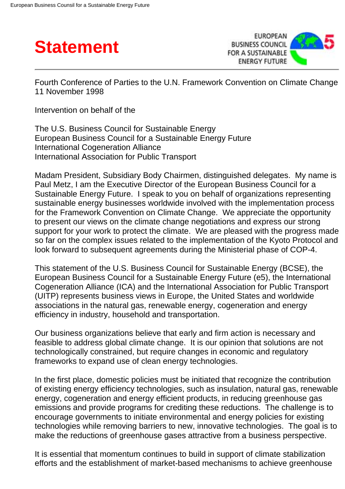



Fourth Conference of Parties to the U.N. Framework Convention on Climate Change 11 November 1998

Intervention on behalf of the

The U.S. Business Council for Sustainable Energy European Business Council for a Sustainable Energy Future International Cogeneration Alliance International Association for Public Transport

Madam President, Subsidiary Body Chairmen, distinguished delegates. My name is Paul Metz, I am the Executive Director of the European Business Council for a Sustainable Energy Future. I speak to you on behalf of organizations representing sustainable energy businesses worldwide involved with the implementation process for the Framework Convention on Climate Change. We appreciate the opportunity to present our views on the climate change negotiations and express our strong support for your work to protect the climate. We are pleased with the progress made so far on the complex issues related to the implementation of the Kyoto Protocol and look forward to subsequent agreements during the Ministerial phase of COP-4.

This statement of the U.S. Business Council for Sustainable Energy (BCSE), the European Business Council for a Sustainable Energy Future (e5), the International Cogeneration Alliance (ICA) and the International Association for Public Transport (UITP) represents business views in Europe, the United States and worldwide associations in the natural gas, renewable energy, cogeneration and energy efficiency in industry, household and transportation.

Our business organizations believe that early and firm action is necessary and feasible to address global climate change. It is our opinion that solutions are not technologically constrained, but require changes in economic and regulatory frameworks to expand use of clean energy technologies.

In the first place, domestic policies must be initiated that recognize the contribution of existing energy efficiency technologies, such as insulation, natural gas, renewable energy, cogeneration and energy efficient products, in reducing greenhouse gas emissions and provide programs for crediting these reductions. The challenge is to encourage governments to initiate environmental and energy policies for existing technologies while removing barriers to new, innovative technologies. The goal is to make the reductions of greenhouse gases attractive from a business perspective.

It is essential that momentum continues to build in support of climate stabilization efforts and the establishment of market-based mechanisms to achieve greenhouse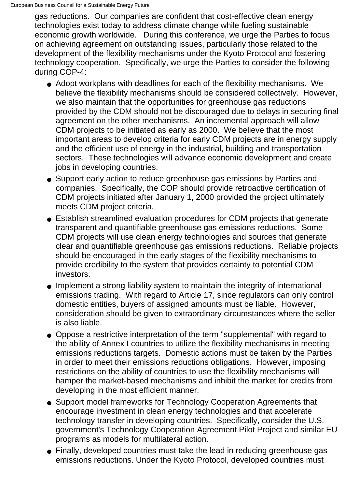gas reductions. Our companies are confident that cost-effective clean energy technologies exist today to address climate change while fueling sustainable economic growth worldwide. During this conference, we urge the Parties to focus on achieving agreement on outstanding issues, particularly those related to the development of the flexibility mechanisms under the Kyoto Protocol and fostering technology cooperation. Specifically, we urge the Parties to consider the following during COP-4:

- Adopt workplans with deadlines for each of the flexibility mechanisms. We believe the flexibility mechanisms should be considered collectively. However, we also maintain that the opportunities for greenhouse gas reductions provided by the CDM should not be discouraged due to delays in securing final agreement on the other mechanisms. An incremental approach will allow CDM projects to be initiated as early as 2000. We believe that the most important areas to develop criteria for early CDM projects are in energy supply and the efficient use of energy in the industrial, building and transportation sectors. These technologies will advance economic development and create jobs in developing countries.
- Support early action to reduce greenhouse gas emissions by Parties and companies. Specifically, the COP should provide retroactive certification of CDM projects initiated after January 1, 2000 provided the project ultimately meets CDM project criteria.
- Establish streamlined evaluation procedures for CDM projects that generate transparent and quantifiable greenhouse gas emissions reductions. Some CDM projects will use clean energy technologies and sources that generate clear and quantifiable greenhouse gas emissions reductions. Reliable projects should be encouraged in the early stages of the flexibility mechanisms to provide credibility to the system that provides certainty to potential CDM investors.
- Implement a strong liability system to maintain the integrity of international emissions trading. With regard to Article 17, since regulators can only control domestic entities, buyers of assigned amounts must be liable. However, consideration should be given to extraordinary circumstances where the seller is also liable.
- Oppose a restrictive interpretation of the term "supplemental" with regard to the ability of Annex I countries to utilize the flexibility mechanisms in meeting emissions reductions targets. Domestic actions must be taken by the Parties in order to meet their emissions reductions obligations. However, imposing restrictions on the ability of countries to use the flexibility mechanisms will hamper the market-based mechanisms and inhibit the market for credits from developing in the most efficient manner.
- Support model frameworks for Technology Cooperation Agreements that encourage investment in clean energy technologies and that accelerate technology transfer in developing countries. Specifically, consider the U.S. government's Technology Cooperation Agreement Pilot Project and similar EU programs as models for multilateral action.
- Finally, developed countries must take the lead in reducing greenhouse gas emissions reductions. Under the Kyoto Protocol, developed countries must